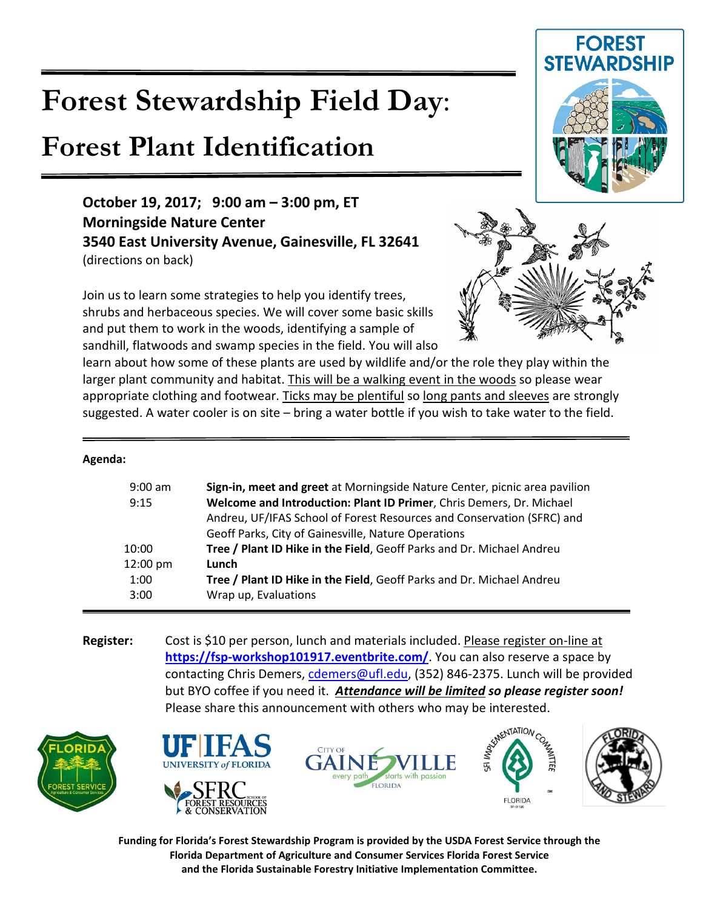# **Forest Stewardship Field Day**:

## **Forest Plant Identification**

### **October 19, 2017; 9:00 am – 3:00 pm, ET Morningside Nature Center 3540 East University Avenue, Gainesville, FL 32641** (directions on back)

Join us to learn some strategies to help you identify trees, shrubs and herbaceous species. We will cover some basic skills and put them to work in the woods, identifying a sample of sandhill, flatwoods and swamp species in the field. You will also

learn about how some of these plants are used by wildlife and/or the role they play within the larger plant community and habitat. This will be a walking event in the woods so please wear appropriate clothing and footwear. Ticks may be plentiful so long pants and sleeves are strongly suggested. A water cooler is on site – bring a water bottle if you wish to take water to the field.

#### **Agenda:**

| $9:00$ am<br>9:15 | Sign-in, meet and greet at Morningside Nature Center, picnic area pavilion<br>Welcome and Introduction: Plant ID Primer, Chris Demers, Dr. Michael<br>Andreu, UF/IFAS School of Forest Resources and Conservation (SFRC) and |
|-------------------|------------------------------------------------------------------------------------------------------------------------------------------------------------------------------------------------------------------------------|
|                   | Geoff Parks, City of Gainesville, Nature Operations                                                                                                                                                                          |
| 10:00             | Tree / Plant ID Hike in the Field, Geoff Parks and Dr. Michael Andreu                                                                                                                                                        |
| 12:00 pm          | Lunch                                                                                                                                                                                                                        |
| 1:00              | Tree / Plant ID Hike in the Field, Geoff Parks and Dr. Michael Andreu                                                                                                                                                        |
| 3:00              | Wrap up, Evaluations                                                                                                                                                                                                         |
|                   |                                                                                                                                                                                                                              |

**Register:** Cost is \$10 per person, lunch and materials included. Please register on-line at **<https://fsp-workshop101917.eventbrite.com/>**. You can also reserve a space by contacting Chris Demers, [cdemers@ufl.edu,](mailto:cdemers@ufl.edu) (352) 846-2375. Lunch will be provided but BYO coffee if you need it. *Attendance will be limited so please register soon!* 







**Funding for Florida's Forest Stewardship Program is provided by the USDA Forest Service through the Florida Department of Agriculture and Consumer Services Florida Forest Service and the Florida Sustainable Forestry Initiative Implementation Committee.**